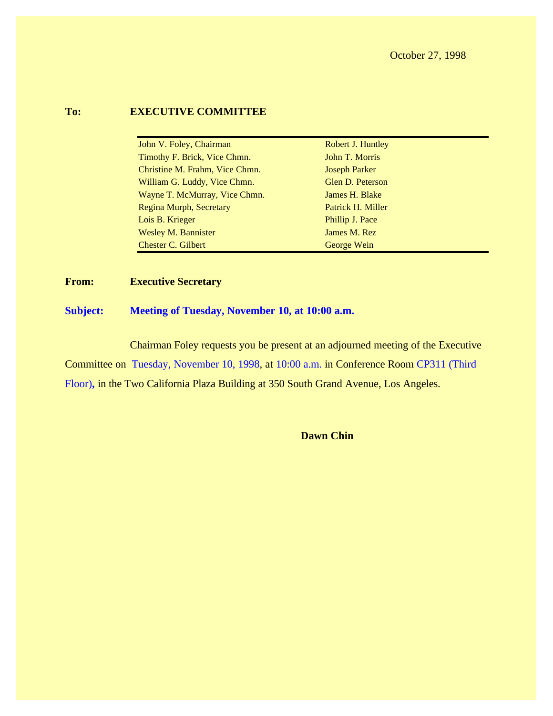#### **To: EXECUTIVE COMMITTEE**

| John V. Foley, Chairman        | Robert J. Huntley    |
|--------------------------------|----------------------|
| Timothy F. Brick, Vice Chmn.   | John T. Morris       |
| Christine M. Frahm, Vice Chmn. | <b>Joseph Parker</b> |
| William G. Luddy, Vice Chmn.   | Glen D. Peterson     |
| Wayne T. McMurray, Vice Chmn.  | James H. Blake       |
| Regina Murph, Secretary        | Patrick H. Miller    |
| Lois B. Krieger                | Phillip J. Pace      |
| <b>Wesley M. Bannister</b>     | James M. Rez         |
| Chester C. Gilbert             | George Wein          |

**From: Executive Secretary**

#### **Subject: Meeting of Tuesday, November 10, at 10:00 a.m.**

Chairman Foley requests you be present at an adjourned meeting of the Executive Committee on Tuesday, November 10, 1998, at 10:00 a.m. in Conference Room CP311 (Third Floor)**,** in the Two California Plaza Building at 350 South Grand Avenue, Los Angeles.

**Dawn Chin**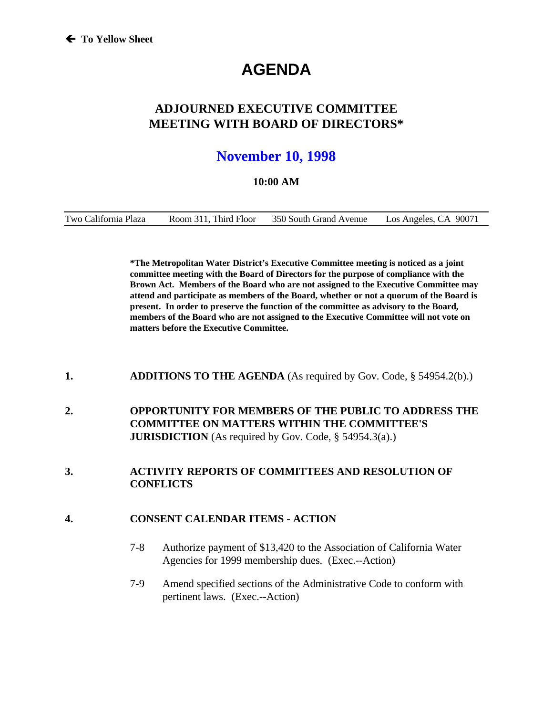# **AGENDA**

### **ADJOURNED EXECUTIVE COMMITTEE MEETING WITH BOARD OF DIRECTORS\***

## **November 10, 1998**

#### **10:00 AM**

| Two California Plaza | Room 311. Third Floor | 350 South Grand Avenue | Los Angeles, CA 90071 |
|----------------------|-----------------------|------------------------|-----------------------|
|----------------------|-----------------------|------------------------|-----------------------|

**\*The Metropolitan Water District's Executive Committee meeting is noticed as a joint committee meeting with the Board of Directors for the purpose of compliance with the Brown Act. Members of the Board who are not assigned to the Executive Committee may attend and participate as members of the Board, whether or not a quorum of the Board is present. In order to preserve the function of the committee as advisory to the Board, members of the Board who are not assigned to the Executive Committee will not vote on matters before the Executive Committee.**

- **1. ADDITIONS TO THE AGENDA** (As required by Gov. Code, § 54954.2(b).)
- **2. OPPORTUNITY FOR MEMBERS OF THE PUBLIC TO ADDRESS THE COMMITTEE ON MATTERS WITHIN THE COMMITTEE'S JURISDICTION** (As required by Gov. Code, § 54954.3(a).)

#### **3. ACTIVITY REPORTS OF COMMITTEES AND RESOLUTION OF CONFLICTS**

#### **4. CONSENT CALENDAR ITEMS - ACTION**

- 7-8 Authorize payment of \$13,420 to the Association of California Water Agencies for 1999 membership dues. (Exec.--Action)
- 7-9 Amend specified sections of the Administrative Code to conform with pertinent laws. (Exec.--Action)